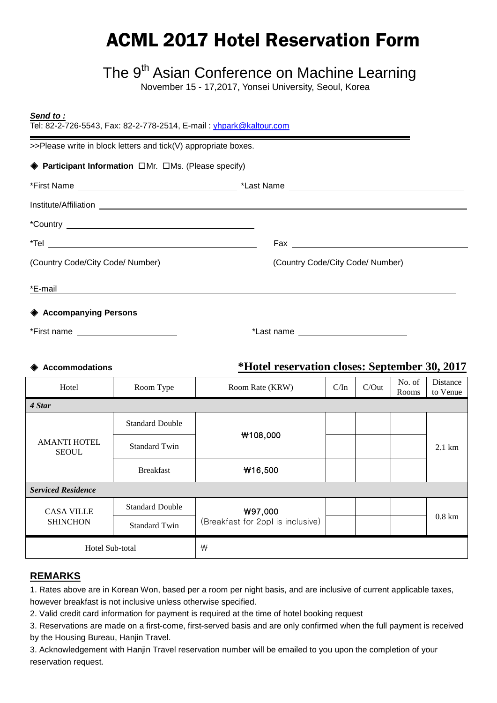# ACML 2017 Hotel Reservation Form

# The 9<sup>th</sup> Asian Conference on Machine Learning

November 15 - 17,2017, Yonsei University, Seoul, Korea

| Send to:<br>Tel: 82-2-726-5543, Fax: 82-2-778-2514, E-mail: yhpark@kaltour.com                                                                                                                                                       |                                  |  |  |  |
|--------------------------------------------------------------------------------------------------------------------------------------------------------------------------------------------------------------------------------------|----------------------------------|--|--|--|
| >>Please write in block letters and tick(V) appropriate boxes.                                                                                                                                                                       |                                  |  |  |  |
| $\triangle$ Participant Information $\Box$ Mr. $\Box$ Ms. (Please specify)                                                                                                                                                           |                                  |  |  |  |
|                                                                                                                                                                                                                                      |                                  |  |  |  |
|                                                                                                                                                                                                                                      |                                  |  |  |  |
|                                                                                                                                                                                                                                      |                                  |  |  |  |
|                                                                                                                                                                                                                                      |                                  |  |  |  |
| (Country Code/City Code/ Number)                                                                                                                                                                                                     | (Country Code/City Code/ Number) |  |  |  |
| <u>*E-mail and the contract of the contract of the contract of the contract of the contract of the contract of the contract of the contract of the contract of the contract of the contract of the contract of the contract of t</u> |                                  |  |  |  |
| ♦ Accompanying Persons                                                                                                                                                                                                               |                                  |  |  |  |
| *First name ________________________                                                                                                                                                                                                 |                                  |  |  |  |

#### ◈ **Accommodations \*Hotel reservation closes: September 30, 2017**

| Hotel                               | Room Type              | Room Rate (KRW)                              | C/In | C/Out | No. of<br>Rooms | Distance<br>to Venue |  |
|-------------------------------------|------------------------|----------------------------------------------|------|-------|-----------------|----------------------|--|
| 4 Star                              |                        |                                              |      |       |                 |                      |  |
|                                     | <b>Standard Double</b> | W108,000                                     |      |       |                 |                      |  |
| <b>AMANTI HOTEL</b><br><b>SEOUL</b> | <b>Standard Twin</b>   |                                              |      |       |                 | $2.1 \text{ km}$     |  |
|                                     | <b>Breakfast</b>       | W16,500                                      |      |       |                 |                      |  |
| <b>Serviced Residence</b>           |                        |                                              |      |       |                 |                      |  |
| <b>CASA VILLE</b>                   | <b>Standard Double</b> | ₩97,000<br>(Breakfast for 2ppl is inclusive) |      |       |                 | $0.8 \text{ km}$     |  |
| <b>SHINCHON</b>                     | <b>Standard Twin</b>   |                                              |      |       |                 |                      |  |
| Hotel Sub-total                     |                        | ₩                                            |      |       |                 |                      |  |

#### **REMARKS**

1. Rates above are in Korean Won, based per a room per night basis, and are inclusive of current applicable taxes, however breakfast is not inclusive unless otherwise specified.

2. Valid credit card information for payment is required at the time of hotel booking request

3. Reservations are made on a first-come, first-served basis and are only confirmed when the full payment is received by the Housing Bureau, Hanjin Travel.

3. Acknowledgement with Hanjin Travel reservation number will be emailed to you upon the completion of your reservation request.